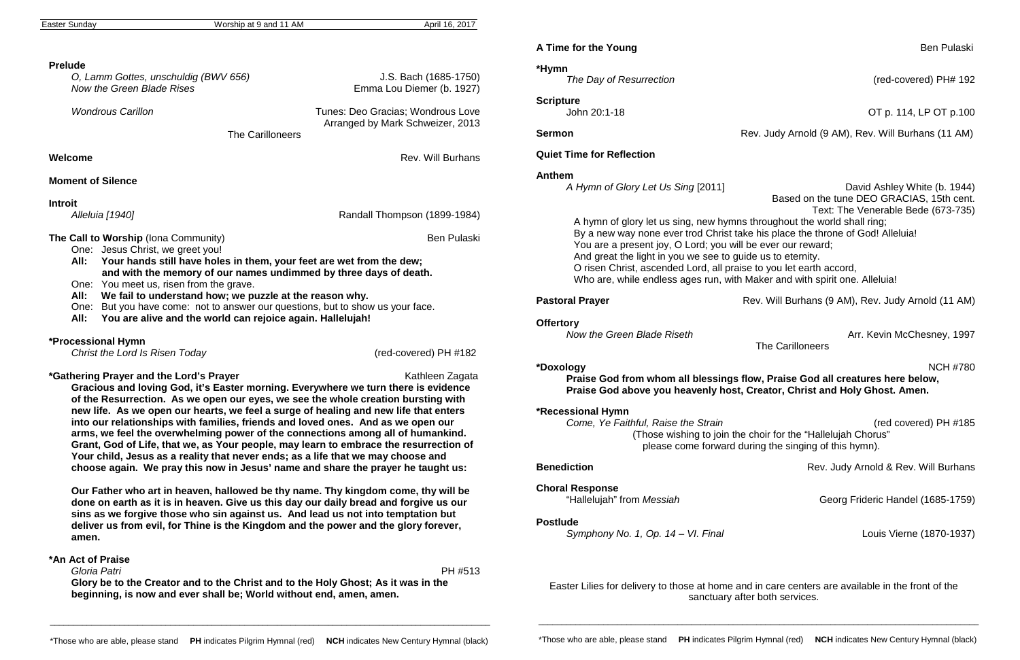| Easter Sunday |  |
|---------------|--|
|---------------|--|

Worship at 9 and 11 AM April 16, 2017

*O, Lamm Gottes, unschuldig (BWV 656)* J.S. Bach (1685-1750) Emma Lou Diemer (b. 1927)

### **Prelude**

| O, Lamm Gottes, unschuldig (BWV 656) |  |
|--------------------------------------|--|
| Now the Green Blade Rises            |  |

*Wondrous Carillon* Tunes: Deo Gracias; Wondrous Love Arranged by Mark Schweizer, 2013

The Carilloneers

### **Welcome Rev. Will Burhans**

# **Moment of Silence**

**Introit**

*Alleluia [1940]* Randall Thompson (1899-1984)

**The Call to Worship** (Iona Community) **Ben Pulaski** Ben Pulaski

- One: Jesus Christ, we greet you!
- **All: Your hands still have holes in them, your feet are wet from the dew; and with the memory of our names undimmed by three days of death.**
- One: You meet us, risen from the grave.
- **All: We fail to understand how; we puzzle at the reason why.**
- One: But you have come: not to answer our questions, but to show us your face.
- **All: You are alive and the world can rejoice again. Hallelujah!**

# **\*Processional Hymn**

 *Christ the Lord Is Risen Today* (red-covered) PH #182

### **\*Gathering Prayer and the Lord's Prayer** Kathleen Zagata Kathleen Zagata

**Gracious and loving God, it's Easter morning. Everywhere we turn there is evidence of the Resurrection. As we open our eyes, we see the whole creation bursting with new life. As we open our hearts, we feel a surge of healing and new life that enters into our relationships with families, friends and loved ones. And as we open our arms, we feel the overwhelming power of the connections among all of humankind. Grant, God of Life, that we, as Your people, may learn to embrace the resurrection of Your child, Jesus as a reality that never ends; as a life that we may choose and choose again. We pray this now in Jesus' name and share the prayer he taught us:**

> **Postlude** *Symphony No. 1, Op. 14 – VI. Final* **Louis Vierne (1870-1937)**

**Our Father who art in heaven, hallowed be thy name. Thy kingdom come, thy will be done on earth as it is in heaven. Give us this day our daily bread and forgive us our sins as we forgive those who sin against us. And lead us not into temptation but deliver us from evil, for Thine is the Kingdom and the power and the glory forever, amen.**

# **\*An Act of Praise**

 *Gloria Patri* PH #513 **Glory be to the Creator and to the Christ and to the Holy Ghost; As it was in the beginning, is now and ever shall be; World without end, amen, amen.**

# **A Time for the Young Ben Pulaski** Ben Pulaski

**\*Hymn**  *The Day of Resurrection* (red-covered) PH# 192

**Scripture**

John 20:1-18 OT p. 114, LP OT p.100

**Sermon Rev.** Judy Arnold (9 AM), Rev. Will Burhans (11 AM)

**Pastoral Prayer Rev. Will Burhans (9 AM), Rev. Judy Arnold (11 AM)** 

**Quiet Time for Reflection**

# **Anthem**

*A Hymn of Glory Let Us Sing* [2011] David Ashley White (b. 1944) Based on the tune DEO GRACIAS, 15th cent. Text: The Venerable Bede (673-735) A hymn of glory let us sing, new hymns throughout the world shall ring; By a new way none ever trod Christ take his place the throne of God! Alleluia! You are a present joy, O Lord; you will be ever our reward; And great the light in you we see to guide us to eternity. O risen Christ, ascended Lord, all praise to you let earth accord, Who are, while endless ages run, with Maker and with spirit one. Alleluia!

**Offertory**<br>Now the Green Blade Riseth

*Now the Green Blade Riseth* Arr. Kevin McChesney, 1997

The Carilloneers

**Benediction Benediction Rev. Judy Arnold & Rev. Will Burhans** 

Georg Frideric Handel (1685-1759)

# **\*Doxology** NCH #780

**Praise God from whom all blessings flow, Praise God all creatures here below, Praise God above you heavenly host, Creator, Christ and Holy Ghost. Amen.**

# **\*Recessional Hymn**

*Come, Ye Faithful, Raise the Strain* (red covered) PH #185 (Those wishing to join the choir for the "Hallelujah Chorus" please come forward during the singing of this hymn).

**Choral Response**<br>"Hallelujah" from *Messiah*"

Easter Lilies for delivery to those at home and in care centers are available in the front of the sanctuary after both services.

\_\_\_\_\_\_\_\_\_\_\_\_\_\_\_\_\_\_\_\_\_\_\_\_\_\_\_\_\_\_\_\_\_\_\_\_\_\_\_\_\_\_\_\_\_\_\_\_\_\_\_\_\_\_\_\_\_\_\_\_\_\_\_\_\_\_\_\_\_\_\_\_\_\_\_\_\_\_\_\_\_\_\_\_\_\_\_\_\_\_\_\_\_\_\_

\_\_\_\_\_\_\_\_\_\_\_\_\_\_\_\_\_\_\_\_\_\_\_\_\_\_\_\_\_\_\_\_\_\_\_\_\_\_\_\_\_\_\_\_\_\_\_\_\_\_\_\_\_\_\_\_\_\_\_\_\_\_\_\_\_\_\_\_\_\_\_\_\_\_\_\_\_\_\_\_\_\_\_\_\_\_\_\_\_\_\_\_\_\_\_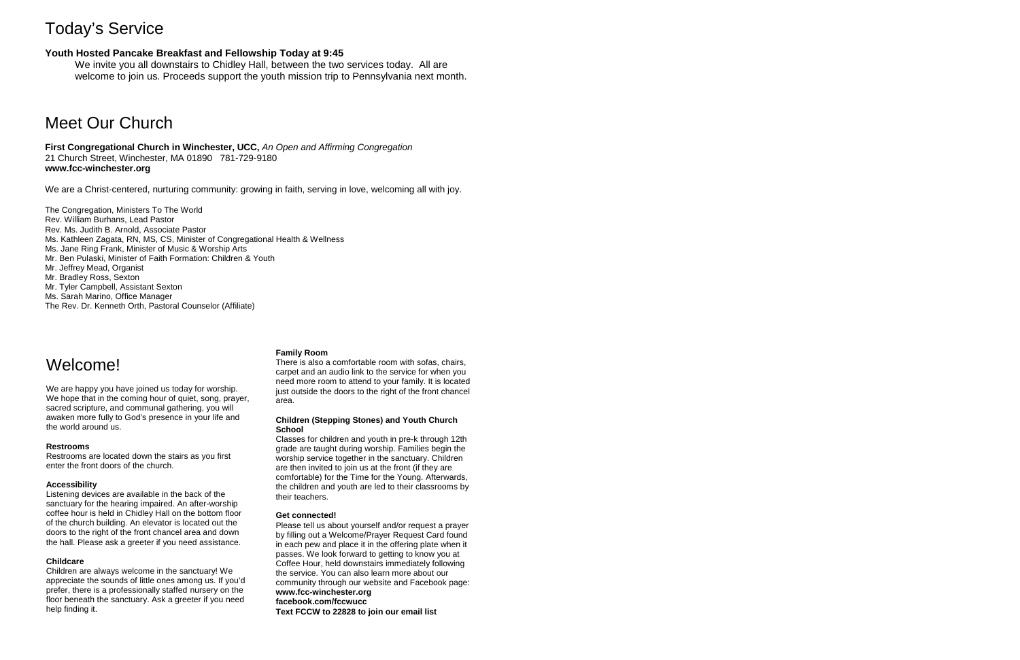# Today's Service

# **Youth Hosted Pancake Breakfast and Fellowship Today at 9:45**

We invite you all downstairs to Chidley Hall, between the two services today. All are welcome to join us. Proceeds support the youth mission trip to Pennsylvania next month.

# Meet Our Church

**First Congregational Church in Winchester, UCC,** *An Open and Affirming Congregation* 21 Church Street, Winchester, MA 01890 781-729-9180 **www.fcc-winchester.org**

We are a Christ-centered, nurturing community: growing in faith, serving in love, welcoming all with joy.

The Congregation, Ministers To The World Rev. William Burhans, Lead Pastor Rev. Ms. Judith B. Arnold, Associate Pastor Ms. Kathleen Zagata, RN, MS, CS, Minister of Congregational Health & Wellness Ms. Jane Ring Frank, Minister of Music & Worship Arts Mr. Ben Pulaski, Minister of Faith Formation: Children & Youth Mr. Jeffrey Mead, Organist Mr. Bradley Ross, Sexton Mr. Tyler Campbell, Assistant Sexton Ms. Sarah Marino, Office Manager The Rev. Dr. Kenneth Orth, Pastoral Counselor (Affiliate)

# Welcome!

We are happy you have joined us today for worship. We hope that in the coming hour of quiet, song, prayer, sacred scripture, and communal gathering, you will awaken more fully to God's presence in your life and the world around us.

#### **Restrooms**

Restrooms are located down the stairs as you first enter the front doors of the church.

#### **Accessibility**

Listening devices are available in the back of the sanctuary for the hearing impaired. An after-worship coffee hour is held in Chidley Hall on the bottom floor of the church building. An elevator is located out the doors to the right of the front chancel area and down the hall. Please ask a greeter if you need assistance.

#### **Childcare**

Children are always welcome in the sanctuary! We appreciate the sounds of little ones among us. If you'd prefer, there is a professionally staffed nursery on the floor beneath the sanctuary. Ask a greeter if you need help finding it.

#### **Family Room**

There is also a comfortable room with sofas, chairs, carpet and an audio link to the service for when you need more room to attend to your family. It is located just outside the doors to the right of the front chancel area.

#### **Children (Stepping Stones) and Youth Church School**

Classes for children and youth in pre-k through 12th grade are taught during worship. Families begin the worship service together in the sanctuary. Children are then invited to join us at the front (if they are comfortable) for the Time for the Young. Afterwards, the children and youth are led to their classrooms by their teachers.

#### **Get connected!**

Please tell us about yourself and/or request a prayer by filling out a Welcome/Prayer Request Card found in each pew and place it in the offering plate when it passes. We look forward to getting to know you at Coffee Hour, held downstairs immediately following the service. You can also learn more about our community through our website and Facebook page: **www.fcc-winchester.org facebook.com/fccwucc**

**Text FCCW to 22828 to join our email list**